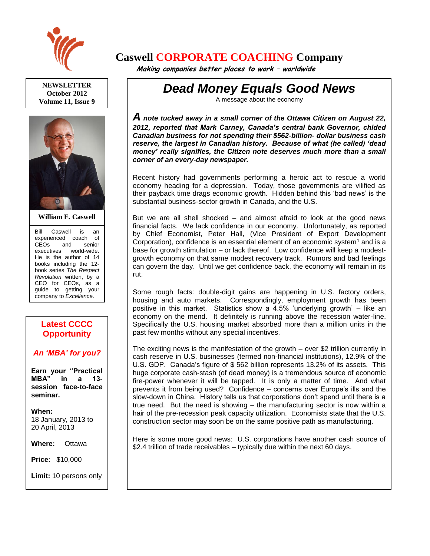

**NEWSLETTER October 2012 Volume 11, Issue 9**



**William E. Caswell**

Bill Caswell is an experienced coach of CEOs and senior executives world-wide. He is the author of 14 books including the 12 book series *The Respect Revolution* written, by a CEO for CEOs, as a guide to getting your company to *Excellence*.

## **Latest CCCC Opportunity**

## *An 'MBA' for you?*

**Earn your "Practical MBA" in a 13 session face-to-face seminar.**

**When:**  18 January, 2013 to 20 April, 2013

**Where:** Ottawa

**Price:** \$10,000

**Limit:** 10 persons only

Ask for more details.

## **Caswell CORPORATE COACHING Company**

 **Making companies better places to work – worldwide**

*Dead Money Equals Good News*

A message about the economy

*A note tucked away in a small corner of the Ottawa Citizen on August 22, 2012, reported that Mark Carney, Canada's central bank Governor, chided Canadian business for not spending their \$562-billion- dollar business cash reserve, the largest in Canadian history. Because of what (he called) 'dead money' really signifies, the Citizen note deserves much more than a small corner of an every-day newspaper.*

Recent history had governments performing a heroic act to rescue a world economy heading for a depression. Today, those governments are vilified as their payback time drags economic growth. Hidden behind this 'bad news' is the substantial business-sector growth in Canada, and the U.S.

But we are all shell shocked – and almost afraid to look at the good news financial facts. We lack confidence in our economy. Unfortunately, as reported by Chief Economist, Peter Hall, (Vice President of Export Development Corporation), confidence is an essential element of an economic system<sup>1</sup> and is a base for growth stimulation – or lack thereof. Low confidence will keep a modestgrowth economy on that same modest recovery track. Rumors and bad feelings can govern the day. Until we get confidence back, the economy will remain in its rut.

Some rough facts: double-digit gains are happening in U.S. factory orders, housing and auto markets. Correspondingly, employment growth has been positive in this market. Statistics show a 4.5% 'underlying growth' – like an economy on the mend. It definitely is running above the recession water-line. Specifically the U.S. housing market absorbed more than a million units in the past few months without any special incentives.

The exciting news is the manifestation of the growth – over \$2 trillion currently in cash reserve in U.S. businesses (termed non-financial institutions), 12.9% of the U.S. GDP. Canada's figure of \$ 562 billion represents 13.2% of its assets. This huge corporate cash-stash (of dead money) is a tremendous source of economic fire-power whenever it will be tapped. It is only a matter of time. And what prevents it from being used? Confidence – concerns over Europe's ills and the slow-down in China. History tells us that corporations don't spend until there is a true need. But the need is showing – the manufacturing sector is now within a hair of the pre-recession peak capacity utilization. Economists state that the U.S. construction sector may soon be on the same positive path as manufacturing.

Here is some more good news: U.S. corporations have another cash source of \$2.4 trillion of trade receivables – typically due within the next 60 days.